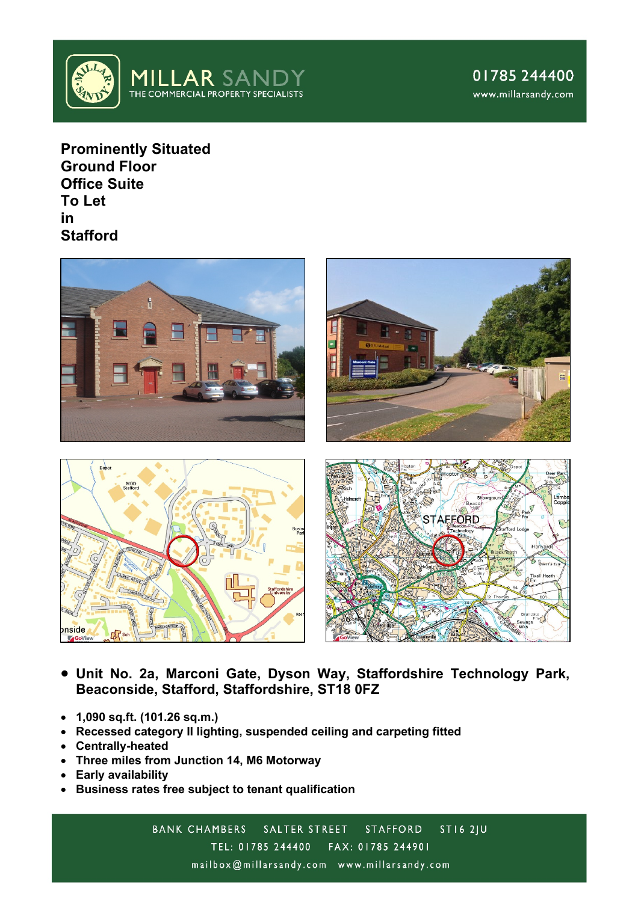

**Prominently Situated Ground Floor Office Suite To Let in Stafford**



- **Unit No. 2a, Marconi Gate, Dyson Way, Staffordshire Technology Park, Beaconside, Stafford, Staffordshire, ST18 0FZ**
- **1,090 sq.ft. (101.26 sq.m.)**
- **Recessed category II lighting, suspended ceiling and carpeting fitted**
- **Centrally-heated**
- **Three miles from Junction 14, M6 Motorway**
- **Early availability**
- **Business rates free subject to tenant qualification**

BANK CHAMBERS SALTER STREET STAFFORD **ST16 2JU** TEL: 01785 244400 FAX: 01785 244901 mailbox@millarsandy.com www.millarsandy.com